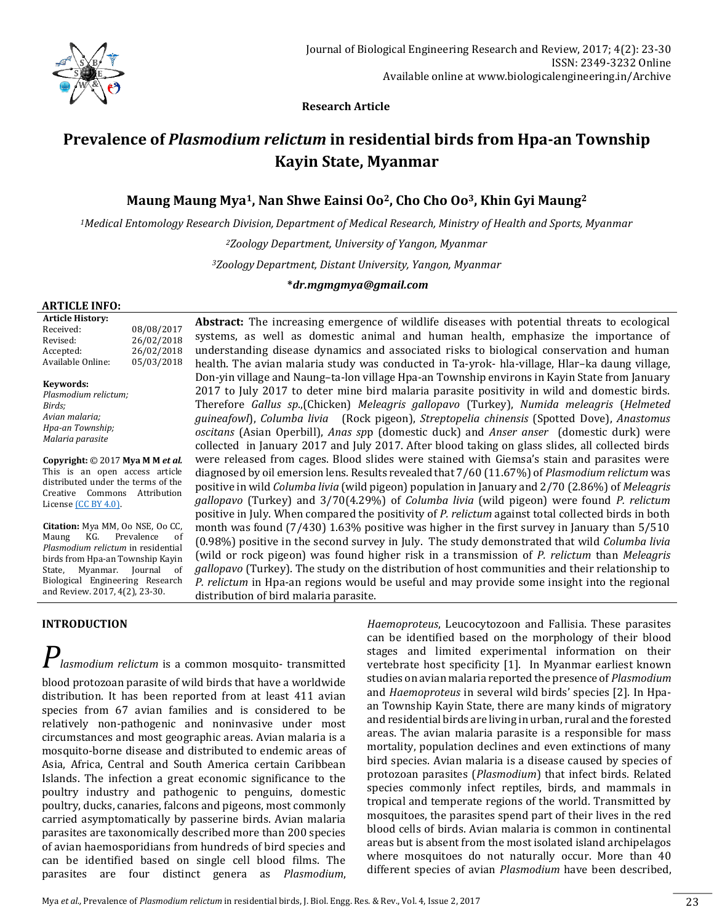

 **Research Article**

# **Prevalence of** *Plasmodium relictum* **in residential birds from Hpa-an Township Kayin State, Myanmar**

# **Maung Maung Mya1, Nan Shwe Eainsi Oo2, Cho Cho Oo3, Khin Gyi Maung<sup>2</sup>**

*<sup>1</sup>Medical Entomology Research Division, Department of Medical Research, Ministry of Health and Sports, Myanmar*

*<sup>2</sup>Zoology Department, University of Yangon, Myanmar <sup>3</sup>ZoologyDepartment, Distant University, Yangon, Myanmar*

#### **\****dr.mgmgmya@gmail.com*

#### **ARTICLE INFO:**

**Article History:** Received: 08/08/2017 Revised: 26/02/2018 Accepted: 26/02/2018 Available Online: 05/03/2018

**Keywords:** *Plasmodium relictum; Birds; Avian malaria; Hpa-an Township; Malaria parasite*

**Copyright:** © 2017 **Mya M M** *et al.* This is an open access article distributed under the terms of the Creative Commons Attribution Licens[e \(CC BY 4.0\).](https://creativecommons.org/licenses/by/4.0/)

**Citation:** Mya MM, Oo NSE, Oo CC, Maung KG. Prevalence of *Plasmodium relictum* in residential birds from Hpa-an Township Kayin State, Myanmar. Journal of Biological Engineering Research and Review. 2017, 4(2), 23-30.

## **INTRODUCTION**

# *Plasmodium relictum* is a common mosquito- transmitted

blood protozoan parasite of wild birds that have a worldwide distribution. It has been reported from at least 411 avian species from 67 avian families and is considered to be relatively non-pathogenic and noninvasive under most circumstances and most geographic areas. Avian malaria is a mosquito-borne disease and distributed to endemic areas of Asia, Africa, Central and South America certain Caribbean Islands. The infection a great economic significance to the poultry industry and pathogenic to penguins, domestic poultry, ducks, canaries, falcons and pigeons, most commonly carried asymptomatically by passerine birds. Avian malaria parasites are taxonomically described more than 200 species of avian haemosporidians from hundreds of bird species and can be identified based on single cell blood films. The parasites are four distinct genera as *Plasmodium*,

**Abstract:** The increasing emergence of wildlife diseases with potential threats to ecological systems, as well as domestic animal and human health, emphasize the importance of understanding disease dynamics and associated risks to biological conservation and human health. The avian malaria study was conducted in Ta-yrok- hla-village, Hlar–ka daung village, Don-yin village and Naung–ta-lon village Hpa-an Township environs in Kayin State from January 2017 to July 2017 to deter mine bird malaria parasite positivity in wild and domestic birds. Therefore *Gallus sp*.,(Chicken) *Meleagris gallopavo* (Turkey), *Numida meleagris* (*Helmeted guineafowl*), *Columba livia* (Rock pigeon), *Streptopelia chinensis* (Spotted Dove), *Anastomus oscitans* (Asian Operbill), *Anas sp*p (domestic duck) and *Anser anser* (domestic durk) were collected in January 2017 and July 2017. After blood taking on glass slides, all collected birds were released from cages. Blood slides were stained with Giemsa's stain and parasites were diagnosed by oil emersion lens. Results revealed that 7/60 (11.67%) of *Plasmodium relictum* was positive in wild *Columba livia* (wild pigeon) population in January and 2/70 (2.86%) of *Meleagris gallopavo* (Turkey) and 3/70(4.29%) of *Columba livia* (wild pigeon) were found *P. relictum* positive in July. When compared the positivity of *P. relictum* against total collected birds in both month was found (7/430) 1.63% positive was higher in the first survey in January than 5/510 (0.98%) positive in the second survey in July. The study demonstrated that wild *Columba livia* (wild or rock pigeon) was found higher risk in a transmission of *P. relictum* than *Meleagris gallopavo* (Turkey). The study on the distribution of host communities and their relationship to *P. relictum* in Hpa-an regions would be useful and may provide some insight into the regional distribution of bird malaria parasite.

> *Haemoproteus*, Leucocytozoon and Fallisia. These parasites can be identified based on the morphology of their blood stages and limited experimental information on their vertebrate host specificity [1]. In Myanmar earliest known studies on avian malaria reported the presence of *Plasmodium* and *Haemoproteus* in several wild birds' species [2]. In Hpaan Township Kayin State, there are many kinds of migratory and residential birds are living in urban, rural and the forested areas. The avian malaria parasite is a responsible for mass mortality, population declines and even extinctions of many bird species. Avian malaria is a disease caused by species of protozoan parasites (*Plasmodium*) that infect birds. Related species commonly infect reptiles, birds, and mammals in tropical and temperate regions of the world. Transmitted by mosquitoes, the parasites spend part of their lives in the red blood cells of birds. Avian malaria is common in continental areas but is absent from the most isolated island archipelagos where mosquitoes do not naturally occur. More than 40 different species of avian *Plasmodium* have been described,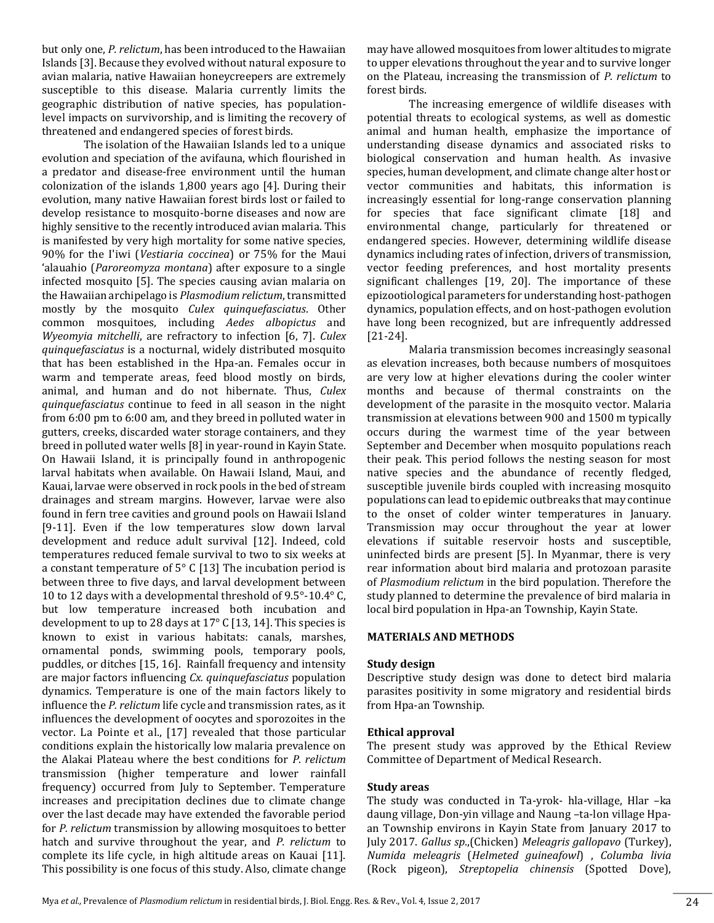but only one, *P. relictum*, has been introduced to the Hawaiian Islands [3]. Because they evolved without natural exposure to avian malaria, native Hawaiian honeycreepers are extremely susceptible to this disease. Malaria currently limits the geographic distribution of native species, has populationlevel impacts on survivorship, and is limiting the recovery of threatened and endangered species of forest birds.

The isolation of the Hawaiian Islands led to a unique evolution and speciation of the avifauna, which flourished in a predator and disease-free environment until the human colonization of the islands 1,800 years ago [4]. During their evolution, many native Hawaiian forest birds lost or failed to develop resistance to mosquito-borne diseases and now are highly sensitive to the recently introduced avian malaria. This is manifested by very high mortality for some native species, 90% for the I'iwi (*Vestiaria coccinea*) or 75% for the Maui 'alauahio (*Paroreomyza montana*) after exposure to a single infected mosquito [5]. The species causing avian malaria on the Hawaiian archipelago is *Plasmodium relictum*, transmitted mostly by the mosquito *Culex quinquefasciatus*. Other common mosquitoes, including *Aedes albopictus* and *Wyeomyia mitchelli*, are refractory to infection [6, 7]. *Culex quinquefasciatus* is a nocturnal, widely distributed mosquito that has been established in the Hpa-an. Females occur in warm and temperate areas, feed blood mostly on birds, animal, and human and do not hibernate. Thus, *Culex quinquefasciatus* continue to feed in all season in the night from 6:00 pm to 6:00 am, and they breed in polluted water in gutters, creeks, discarded water storage containers, and they breed in polluted water wells [8] in year-round in Kayin State. On Hawaii Island, it is principally found in anthropogenic larval habitats when available. On Hawaii Island, Maui, and Kauai, larvae were observed in rock pools in the bed of stream drainages and stream margins. However, larvae were also found in fern tree cavities and ground pools on Hawaii Island [9-11]. Even if the low temperatures slow down larval development and reduce adult survival [12]. Indeed, cold temperatures reduced female survival to two to six weeks at a constant temperature of 5° C [13] The incubation period is between three to five days, and larval development between 10 to 12 days with a developmental threshold of 9.5°-10.4° C, but low temperature increased both incubation and development to up to 28 days at 17° C [13, 14]. This species is known to exist in various habitats: canals, marshes, ornamental ponds, swimming pools, temporary pools, puddles, or ditches [15, 16]. Rainfall frequency and intensity are major factors influencing *Cx. quinquefasciatus* population dynamics. Temperature is one of the main factors likely to influence the *P. relictum* life cycle and transmission rates, as it influences the development of oocytes and sporozoites in the vector. La Pointe et al., [17] revealed that those particular conditions explain the historically low malaria prevalence on the Alakai Plateau where the best conditions for *P. relictum* transmission (higher temperature and lower rainfall frequency) occurred from July to September. Temperature increases and precipitation declines due to climate change over the last decade may have extended the favorable period for *P. relictum* transmission by allowing mosquitoes to better hatch and survive throughout the year, and *P. relictum* to complete its life cycle, in high altitude areas on Kauai [11]. This possibility is one focus of this study. Also, climate change

may have allowed mosquitoes from lower altitudes to migrate to upper elevations throughout the year and to survive longer on the Plateau, increasing the transmission of *P. relictum* to forest birds.

The increasing emergence of wildlife diseases with potential threats to ecological systems, as well as domestic animal and human health, emphasize the importance of understanding disease dynamics and associated risks to biological conservation and human health. As invasive species, human development, and climate change alter host or vector communities and habitats, this information is increasingly essential for long-range conservation planning for species that face significant climate [18] and environmental change, particularly for threatened or endangered species. However, determining wildlife disease dynamics including rates of infection, drivers of transmission, vector feeding preferences, and host mortality presents significant challenges [19, 20]. The importance of these epizootiological parameters for understanding host-pathogen dynamics, population effects, and on host-pathogen evolution have long been recognized, but are infrequently addressed [21-24].

Malaria transmission becomes increasingly seasonal as elevation increases, both because numbers of mosquitoes are very low at higher elevations during the cooler winter months and because of thermal constraints on the development of the parasite in the mosquito vector. Malaria transmission at elevations between 900 and 1500 m typically occurs during the warmest time of the year between September and December when mosquito populations reach their peak. This period follows the nesting season for most native species and the abundance of recently fledged, susceptible juvenile birds coupled with increasing mosquito populations can lead to epidemic outbreaks that may continue to the onset of colder winter temperatures in January. Transmission may occur throughout the year at lower elevations if suitable reservoir hosts and susceptible, uninfected birds are present [5]. In Myanmar, there is very rear information about bird malaria and protozoan parasite of *Plasmodium relictum* in the bird population. Therefore the study planned to determine the prevalence of bird malaria in local bird population in Hpa-an Township, Kayin State.

#### **MATERIALS AND METHODS**

#### **Study design**

Descriptive study design was done to detect bird malaria parasites positivity in some migratory and residential birds from Hpa-an Township.

#### **Ethical approval**

The present study was approved by the Ethical Review Committee of Department of Medical Research.

#### **Study areas**

The study was conducted in Ta-yrok- hla-village, Hlar –ka daung village, Don-yin village and Naung –ta-lon village Hpaan Township environs in Kayin State from January 2017 to July 2017. *Gallus sp*.,(Chicken) *Meleagris gallopavo* (Turkey), *Numida meleagris* (*Helmeted guineafowl*) , *Columba livia* (Rock pigeon), *Streptopelia chinensis* (Spotted Dove),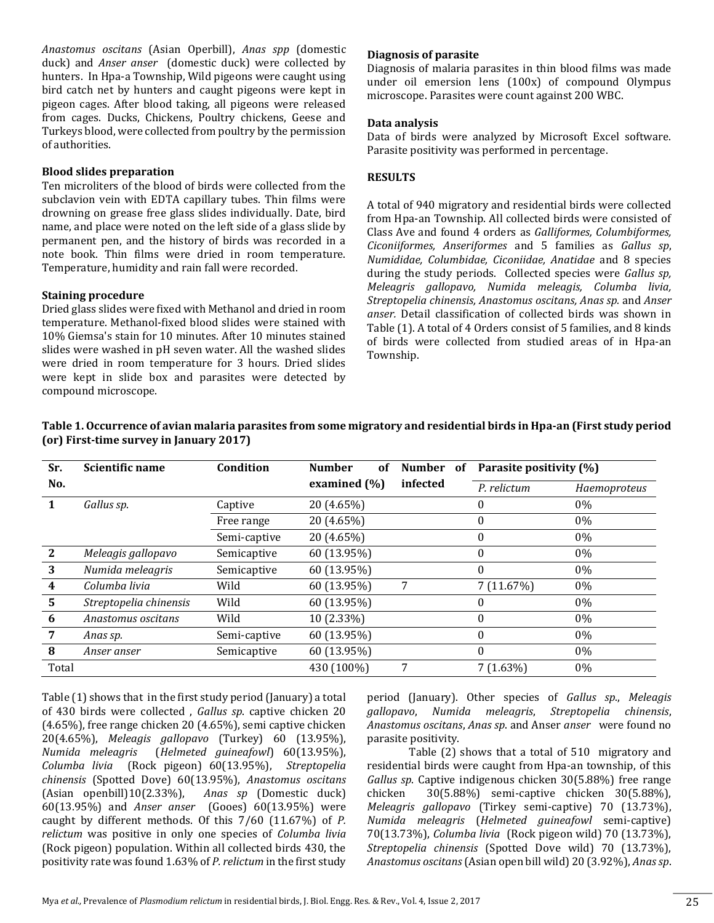*Anastomus oscitans* (Asian Operbill), *Anas spp* (domestic duck) and *Anser anser* (domestic duck) were collected by hunters. In Hpa-a Township, Wild pigeons were caught using bird catch net by hunters and caught pigeons were kept in pigeon cages. After blood taking, all pigeons were released from cages. Ducks, Chickens, Poultry chickens, Geese and Turkeys blood, were collected from poultry by the permission of authorities.

#### **Blood slides preparation**

Ten microliters of the blood of birds were collected from the subclavion vein with EDTA capillary tubes. Thin films were drowning on grease free glass slides individually. Date, bird name, and place were noted on the left side of a glass slide by permanent pen, and the history of birds was recorded in a note book. Thin films were dried in room temperature. Temperature, humidity and rain fall were recorded.

#### **Staining procedure**

Dried glass slides were fixed with Methanol and dried in room temperature. Methanol-fixed blood slides were stained with 10% Giemsa's stain for 10 minutes. After 10 minutes stained slides were washed in pH seven water. All the washed slides were dried in room temperature for 3 hours. Dried slides were kept in slide box and parasites were detected by compound microscope.

#### **Diagnosis of parasite**

Diagnosis of malaria parasites in thin blood films was made under oil emersion lens (100x) of compound Olympus microscope. Parasites were count against 200 WBC.

#### **Data analysis**

Data of birds were analyzed by Microsoft Excel software. Parasite positivity was performed in percentage.

#### **RESULTS**

A total of 940 migratory and residential birds were collected from Hpa-an Township. All collected birds were consisted of Class Ave and found 4 orders as *Galliformes, Columbiformes, Ciconiiformes, Anseriformes* and 5 families as *Gallus sp*, *Numididae, Columbidae, Ciconiidae, Anatidae* and 8 species during the study periods. Collected species were *Gallus sp, Meleagris gallopavo, Numida meleagis, Columba livia, Streptopelia chinensis, Anastomus oscitans, Anas sp.* and *Anser anser.* Detail classification of collected birds was shown in Table (1). A total of 4 Orders consist of 5 families, and 8 kinds of birds were collected from studied areas of in Hpa-an Township.

| Sr.   | <b>Scientific name</b> | Condition    | <b>Number</b><br>Number<br>of<br>0f |          | Parasite positivity (%) |              |
|-------|------------------------|--------------|-------------------------------------|----------|-------------------------|--------------|
| No.   |                        |              | examined (%)                        | infected | P. relictum             | Haemoproteus |
|       | Gallus sp.             | Captive      | 20 (4.65%)                          |          | 0                       | $0\%$        |
|       |                        | Free range   | 20 (4.65%)                          |          | 0                       | $0\%$        |
|       |                        | Semi-captive | 20 (4.65%)                          |          | $\Omega$                | $0\%$        |
| 2     | Meleagis gallopavo     | Semicaptive  | 60 (13.95%)                         |          | $\theta$                | $0\%$        |
| 3     | Numida meleagris       | Semicaptive  | 60 (13.95%)                         |          | $\Omega$                | $0\%$        |
| 4     | Columba livia          | Wild         | 60 (13.95%)                         | 7        | 7 (11.67%)              | $0\%$        |
| 5     | Streptopelia chinensis | Wild         | 60 (13.95%)                         |          | $\theta$                | 0%           |
| 6     | Anastomus oscitans     | Wild         | 10 (2.33%)                          |          | $\Omega$                | 0%           |
| 7     | Anas sp.               | Semi-captive | 60 (13.95%)                         |          | $\Omega$                | $0\%$        |
| 8     | Anser anser            | Semicaptive  | 60 (13.95%)                         |          | 0                       | $0\%$        |
| Total |                        |              | 430 (100%)                          | 7        | $7(1.63\%)$             | $0\%$        |

**Table 1. Occurrence of avian malaria parasites from some migratory and residential birds in Hpa-an (First study period (or) First-time survey in January 2017)**

Table (1) shows that in the first study period (January) a total of 430 birds were collected , *Gallus sp*. captive chicken 20 (4.65%), free range chicken 20 (4.65%), semi captive chicken 20(4.65%), *Meleagis gallopavo* (Turkey) 60 (13.95%), *Numida meleagris* (*Helmeted guineafowl*) 60(13.95%), *Columba livia* (Rock pigeon) 60(13.95%), *Streptopelia chinensis* (Spotted Dove) 60(13.95%), *Anastomus oscitans* (Asian openbill)10(2.33%), *Anas sp* (Domestic duck) 60(13.95%) and *Anser anser* (Gooes) 60(13.95%) were caught by different methods. Of this 7/60 (11.67%) of *P. relictum* was positive in only one species of *Columba livia* (Rock pigeon) population. Within all collected birds 430, the positivity rate was found 1.63% of *P. relictum* in the first study period (January). Other species of *Gallus sp*., *Meleagis gallopavo*, *Numida meleagris*, *Streptopelia chinensis*, *Anastomus oscitans*, *Anas sp*. and Anser *anser* were found no parasite positivity.

Table (2) shows that a total of 510 migratory and residential birds were caught from Hpa-an township, of this *Gallus sp*. Captive indigenous chicken 30(5.88%) free range chicken 30(5.88%) semi-captive chicken 30(5.88%), *Meleagris gallopavo* (Tirkey semi-captive) 70 (13.73%), *Numida meleagris* (*Helmeted guineafowl* semi-captive) 70(13.73%), *Columba livia* (Rock pigeon wild) 70 (13.73%), *Streptopelia chinensis* (Spotted Dove wild) 70 (13.73%), *Anastomus oscitans* (Asian open bill wild) 20 (3.92%), *Anas sp*.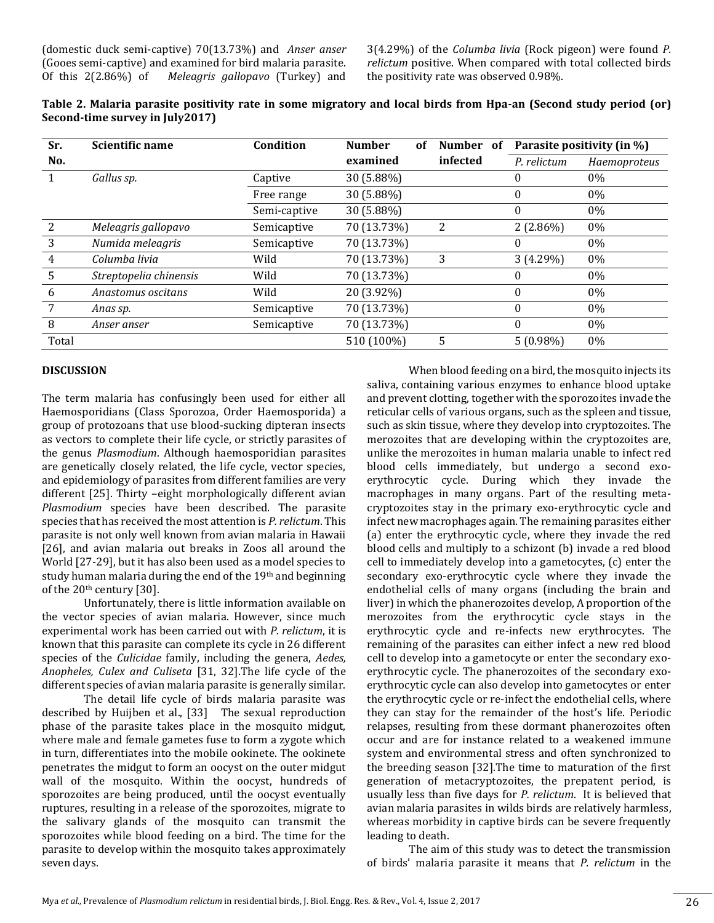3(4.29%) of the *Columba livia* (Rock pigeon) were found *P. relictum* positive. When compared with total collected birds the positivity rate was observed 0.98%.

| Table 2. Malaria parasite positivity rate in some migratory and local birds from Hpa-an (Second study period (or) |  |  |
|-------------------------------------------------------------------------------------------------------------------|--|--|
| Second-time survey in July2017)                                                                                   |  |  |

| Sr.   | Scientific name        | Condition    | <b>Number</b> | of | Number of | Parasite positivity (in %) |              |
|-------|------------------------|--------------|---------------|----|-----------|----------------------------|--------------|
| No.   |                        |              | examined      |    | infected  | P. relictum                | Haemoproteus |
|       | Gallus sp.             | Captive      | 30 (5.88%)    |    |           | $\theta$                   | $0\%$        |
|       |                        | Free range   | 30 (5.88%)    |    |           | $\theta$                   | 0%           |
|       |                        | Semi-captive | 30 (5.88%)    |    |           | $\theta$                   | 0%           |
| 2     | Meleagris gallopavo    | Semicaptive  | 70 (13.73%)   |    | 2         | $2(2.86\%)$                | $0\%$        |
| 3     | Numida meleagris       | Semicaptive  | 70 (13.73%)   |    |           | $\theta$                   | 0%           |
| 4     | Columba livia          | Wild         | 70 (13.73%)   |    | 3         | $3(4.29\%)$                | 0%           |
| 5     | Streptopelia chinensis | Wild         | 70 (13.73%)   |    |           | $\theta$                   | 0%           |
| 6     | Anastomus oscitans     | Wild         | 20 (3.92%)    |    |           | $\Omega$                   | $0\%$        |
|       | Anas sp.               | Semicaptive  | 70 (13.73%)   |    |           | $\theta$                   | 0%           |
| 8     | Anser anser            | Semicaptive  | 70 (13.73%)   |    |           | $\Omega$                   | 0%           |
| Total |                        |              | 510 (100%)    |    | 5         | $5(0.98\%)$                | $0\%$        |

#### **DISCUSSION**

The term malaria has confusingly been used for either all Haemosporidians (Class Sporozoa, Order Haemosporida) a group of protozoans that use blood-sucking dipteran insects as vectors to complete their life cycle, or strictly parasites of the genus *Plasmodium*. Although haemosporidian parasites are genetically closely related, the life cycle, vector species, and epidemiology of parasites from different families are very different [25]. Thirty –eight morphologically different avian *Plasmodium* species have been described. The parasite species that has received the most attention is *P. relictum*. This parasite is not only well known from avian malaria in Hawaii [26], and avian malaria out breaks in Zoos all around the World [27-29], but it has also been used as a model species to study human malaria during the end of the 19<sup>th</sup> and beginning of the  $20<sup>th</sup>$  century [30].

Unfortunately, there is little information available on the vector species of avian malaria. However, since much experimental work has been carried out with *P. relictum*, it is known that this parasite can complete its cycle in 26 different species of the *Culicidae* family, including the genera, *Aedes, Anopheles, Culex and Culiseta* [31, 32].The life cycle of the different species of avian malaria parasite is generally similar.

The detail life cycle of birds malaria parasite was described by Huijben et al., [33] The sexual reproduction phase of the parasite takes place in the mosquito midgut, where male and female gametes fuse to form a zygote which in turn, differentiates into the mobile ookinete. The ookinete penetrates the midgut to form an oocyst on the outer midgut wall of the mosquito. Within the oocyst, hundreds of sporozoites are being produced, until the oocyst eventually ruptures, resulting in a release of the sporozoites, migrate to the salivary glands of the mosquito can transmit the sporozoites while blood feeding on a bird. The time for the parasite to develop within the mosquito takes approximately seven days.

When blood feeding on a bird, the mosquito injects its saliva, containing various enzymes to enhance blood uptake and prevent clotting, together with the sporozoites invade the reticular cells of various organs, such as the spleen and tissue, such as skin tissue, where they develop into cryptozoites. The merozoites that are developing within the cryptozoites are, unlike the merozoites in human malaria unable to infect red blood cells immediately, but undergo a second exoerythrocytic cycle. During which they invade the macrophages in many organs. Part of the resulting metacryptozoites stay in the primary exo-erythrocytic cycle and infect new macrophages again. The remaining parasites either (a) enter the erythrocytic cycle, where they invade the red blood cells and multiply to a schizont (b) invade a red blood cell to immediately develop into a gametocytes, (c) enter the secondary exo-erythrocytic cycle where they invade the endothelial cells of many organs (including the brain and liver) in which the phanerozoites develop, A proportion of the merozoites from the erythrocytic cycle stays in the erythrocytic cycle and re-infects new erythrocytes. The remaining of the parasites can either infect a new red blood cell to develop into a gametocyte or enter the secondary exoerythrocytic cycle. The phanerozoites of the secondary exoerythrocytic cycle can also develop into gametocytes or enter the erythrocytic cycle or re-infect the endothelial cells, where they can stay for the remainder of the host's life. Periodic relapses, resulting from these dormant phanerozoites often occur and are for instance related to a weakened immune system and environmental stress and often synchronized to the breeding season [32].The time to maturation of the first generation of metacryptozoites, the prepatent period, is usually less than five days for *P. relictum*. It is believed that avian malaria parasites in wilds birds are relatively harmless, whereas morbidity in captive birds can be severe frequently leading to death.

The aim of this study was to detect the transmission of birds' malaria parasite it means that *P. relictum* in the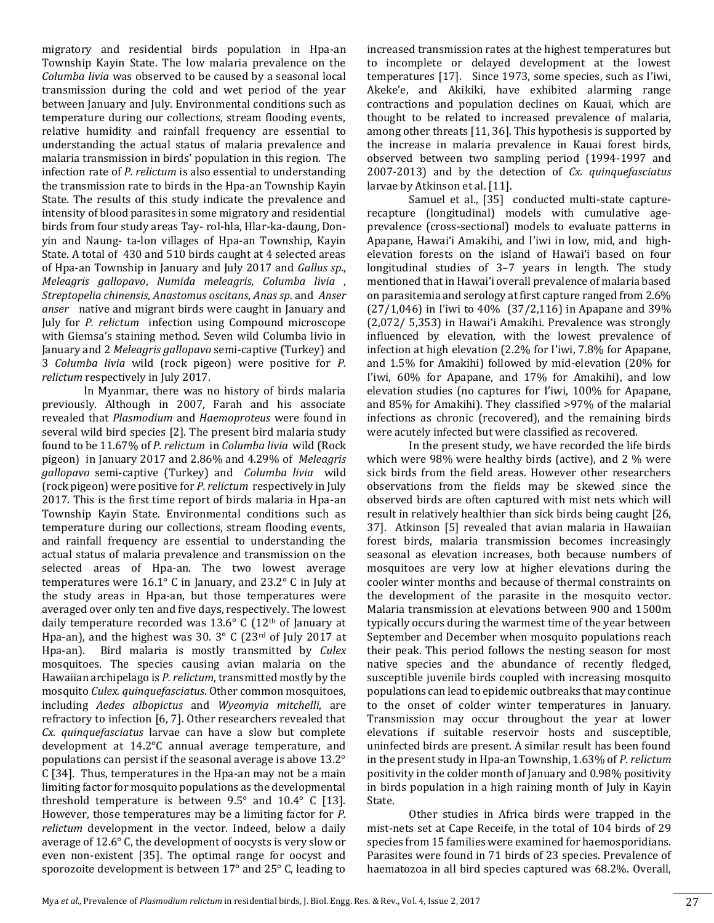migratory and residential birds population in Hpa-an Township Kayin State. The low malaria prevalence on the *Columba livia* was observed to be caused by a seasonal local transmission during the cold and wet period of the year between January and July. Environmental conditions such as temperature during our collections, stream flooding events, relative humidity and rainfall frequency are essential to understanding the actual status of malaria prevalence and malaria transmission in birds' population in this region. The infection rate of *P. relictum* is also essential to understanding the transmission rate to birds in the Hpa-an Township Kayin State. The results of this study indicate the prevalence and intensity of blood parasites in some migratory and residential birds from four study areas Tay- rol-hla, Hlar-ka-daung, Donyin and Naung- ta-lon villages of Hpa-an Township, Kayin State. A total of 430 and 510 birds caught at 4 selected areas of Hpa-an Township in January and July 2017 and *Gallus sp*., *Meleagris gallopavo*, *Numida meleagris*, *Columba livia* , *Streptopelia chinensis*, *Anastomus oscitans*, *Anas sp*. and *Anser anser* native and migrant birds were caught in January and July for *P. relictum* infection using Compound microscope with Giemsa's staining method. Seven wild Columba livio in January and 2 *Meleagris gallopavo* semi-captive (Turkey) and 3 *Columba livia* wild (rock pigeon) were positive for *P. relictum* respectively in July 2017.

In Myanmar, there was no history of birds malaria previously. Although in 2007, Farah and his associate revealed that *Plasmodium* and *Haemoproteus* were found in several wild bird species [2]. The present bird malaria study found to be 11.67% of *P. relictum* in *Columba livia* wild (Rock pigeon) in January 2017 and 2.86% and 4.29% of *Meleagris gallopavo* semi-captive (Turkey) and *Columba livia* wild (rock pigeon) were positive for *P. relictum* respectively in July 2017. This is the first time report of birds malaria in Hpa-an Township Kayin State. Environmental conditions such as temperature during our collections, stream flooding events, and rainfall frequency are essential to understanding the actual status of malaria prevalence and transmission on the selected areas of Hpa-an. The two lowest average temperatures were 16.1° C in January, and 23.2° C in July at the study areas in Hpa-an, but those temperatures were averaged over only ten and five days, respectively. The lowest daily temperature recorded was  $13.6^{\circ}$  C ( $12^{\text{th}}$  of January at Hpa-an), and the highest was 30. 3° C (23rd of July 2017 at Hpa-an). Bird malaria is mostly transmitted by *Culex* mosquitoes. The species causing avian malaria on the Hawaiian archipelago is *P. relictum*, transmitted mostly by the mosquito *Culex. quinquefasciatus*. Other common mosquitoes, including *Aedes albopictus* and *Wyeomyia mitchelli*, are refractory to infection [6, 7]. Other researchers revealed that *Cx. quinquefasciatus* larvae can have a slow but complete development at 14.2°C annual average temperature, and populations can persist if the seasonal average is above 13.2° C [34]. Thus, temperatures in the Hpa-an may not be a main limiting factor for mosquito populations as the developmental threshold temperature is between 9.5° and 10.4° C [13]. However, those temperatures may be a limiting factor for *P. relictum* development in the vector. Indeed, below a daily average of 12.6° C, the development of oocysts is very slow or even non-existent [35]. The optimal range for oocyst and sporozoite development is between 17° and 25° C, leading to

increased transmission rates at the highest temperatures but to incomplete or delayed development at the lowest temperatures [17]. Since 1973, some species, such as I'iwi, Akeke'e, and Akikiki, have exhibited alarming range contractions and population declines on Kauai, which are thought to be related to increased prevalence of malaria, among other threats [11, 36]. This hypothesis is supported by the increase in malaria prevalence in Kauai forest birds, observed between two sampling period (1994-1997 and 2007-2013) and by the detection of *Cx. quinquefasciatus* larvae by Atkinson et al. [11].

Samuel et al., [35] conducted multi-state capturerecapture (longitudinal) models with cumulative ageprevalence (cross-sectional) models to evaluate patterns in Apapane, Hawai'i Amakihi, and I'iwi in low, mid, and highelevation forests on the island of Hawai'i based on four longitudinal studies of 3–7 years in length. The study mentioned that in Hawai'i overall prevalence of malaria based on parasitemia and serology at first capture ranged from 2.6% (27/1,046) in I'iwi to 40% (37/2,116) in Apapane and 39% (2,072/ 5,353) in Hawai'i Amakihi. Prevalence was strongly influenced by elevation, with the lowest prevalence of infection at high elevation (2.2% for I'iwi, 7.8% for Apapane, and 1.5% for Amakihi) followed by mid-elevation (20% for I'iwi, 60% for Apapane, and 17% for Amakihi), and low elevation studies (no captures for I'iwi, 100% for Apapane, and 85% for Amakihi). They classified >97% of the malarial infections as chronic (recovered), and the remaining birds were acutely infected but were classified as recovered.

In the present study, we have recorded the life birds which were 98% were healthy birds (active), and 2 % were sick birds from the field areas. However other researchers observations from the fields may be skewed since the observed birds are often captured with mist nets which will result in relatively healthier than sick birds being caught [26, 37]. Atkinson [5] revealed that avian malaria in Hawaiian forest birds, malaria transmission becomes increasingly seasonal as elevation increases, both because numbers of mosquitoes are very low at higher elevations during the cooler winter months and because of thermal constraints on the development of the parasite in the mosquito vector. Malaria transmission at elevations between 900 and 1500m typically occurs during the warmest time of the year between September and December when mosquito populations reach their peak. This period follows the nesting season for most native species and the abundance of recently fledged, susceptible juvenile birds coupled with increasing mosquito populations can lead to epidemic outbreaks that may continue to the onset of colder winter temperatures in January. Transmission may occur throughout the year at lower elevations if suitable reservoir hosts and susceptible, uninfected birds are present. A similar result has been found in the present study in Hpa-an Township, 1.63% of *P. relictum* positivity in the colder month of January and 0.98% positivity in birds population in a high raining month of July in Kayin State.

Other studies in Africa birds were trapped in the mist-nets set at Cape Receife, in the total of 104 birds of 29 species from 15 families were examined for haemosporidians. Parasites were found in 71 birds of 23 species. Prevalence of haematozoa in all bird species captured was 68.2%. Overall,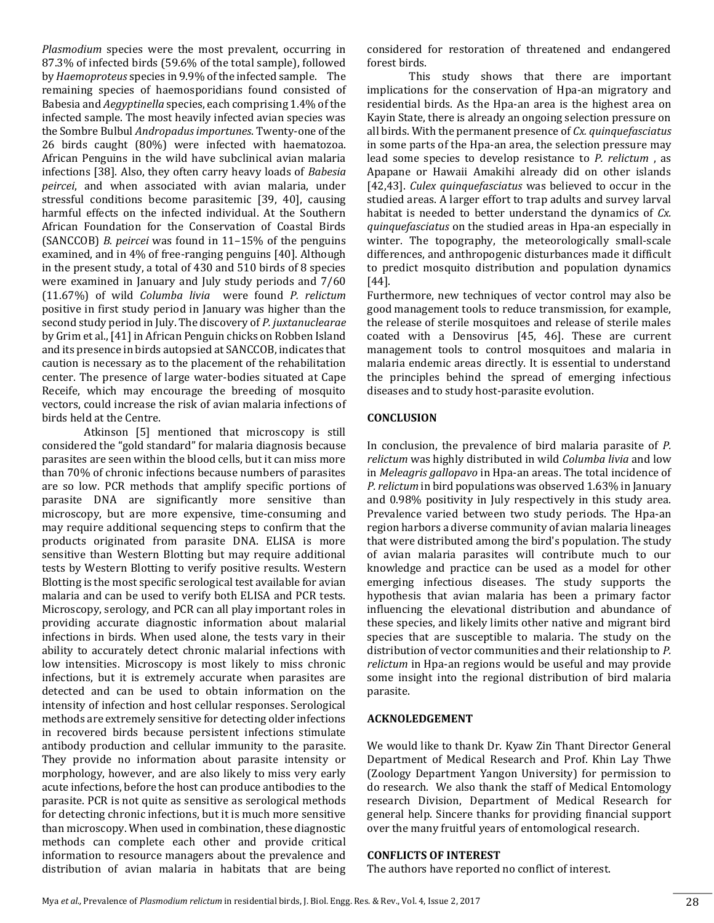*Plasmodium* species were the most prevalent, occurring in 87.3% of infected birds (59.6% of the total sample), followed by *Haemoproteus* species in 9.9% of the infected sample. The remaining species of haemosporidians found consisted of Babesia and *Aegyptinella* species, each comprising 1.4% of the infected sample. The most heavily infected avian species was the Sombre Bulbul *Andropadus importunes*. Twenty-one of the 26 birds caught (80%) were infected with haematozoa. African Penguins in the wild have subclinical avian malaria infections [38]. Also, they often carry heavy loads of *Babesia peircei*, and when associated with avian malaria, under stressful conditions become parasitemic [39, 40], causing harmful effects on the infected individual. At the Southern African Foundation for the Conservation of Coastal Birds (SANCCOB) *B. peircei* was found in 11–15% of the penguins examined, and in 4% of free-ranging penguins [40]. Although in the present study, a total of 430 and 510 birds of 8 species were examined in January and July study periods and 7/60 (11.67%) of wild *Columba livia* were found *P. relictum* positive in first study period in January was higher than the second study period in July. The discovery of *P. juxtanuclearae* by Grim et al., [41] in African Penguin chicks on Robben Island and its presence in birds autopsied at SANCCOB, indicates that caution is necessary as to the placement of the rehabilitation center. The presence of large water-bodies situated at Cape Receife, which may encourage the breeding of mosquito vectors, could increase the risk of avian malaria infections of birds held at the Centre.

Atkinson [5] mentioned that microscopy is still considered the "gold standard" for malaria diagnosis because parasites are seen within the blood cells, but it can miss more than 70% of chronic infections because numbers of parasites are so low. PCR methods that amplify specific portions of parasite DNA are significantly more sensitive than microscopy, but are more expensive, time-consuming and may require additional sequencing steps to confirm that the products originated from parasite DNA. ELISA is more sensitive than Western Blotting but may require additional tests by Western Blotting to verify positive results. Western Blotting is the most specific serological test available for avian malaria and can be used to verify both ELISA and PCR tests. Microscopy, serology, and PCR can all play important roles in providing accurate diagnostic information about malarial infections in birds. When used alone, the tests vary in their ability to accurately detect chronic malarial infections with low intensities. Microscopy is most likely to miss chronic infections, but it is extremely accurate when parasites are detected and can be used to obtain information on the intensity of infection and host cellular responses. Serological methods are extremely sensitive for detecting older infections in recovered birds because persistent infections stimulate antibody production and cellular immunity to the parasite. They provide no information about parasite intensity or morphology, however, and are also likely to miss very early acute infections, before the host can produce antibodies to the parasite. PCR is not quite as sensitive as serological methods for detecting chronic infections, but it is much more sensitive than microscopy. When used in combination, these diagnostic methods can complete each other and provide critical information to resource managers about the prevalence and distribution of avian malaria in habitats that are being

considered for restoration of threatened and endangered forest birds.

This study shows that there are important implications for the conservation of Hpa-an migratory and residential birds. As the Hpa-an area is the highest area on Kayin State, there is already an ongoing selection pressure on all birds. With the permanent presence of *Cx. quinquefasciatus* in some parts of the Hpa-an area, the selection pressure may lead some species to develop resistance to *P. relictum* , as Apapane or Hawaii Amakihi already did on other islands [42,43]. *Culex quinquefasciatus* was believed to occur in the studied areas. A larger effort to trap adults and survey larval habitat is needed to better understand the dynamics of *Cx. quinquefasciatus* on the studied areas in Hpa-an especially in winter. The topography, the meteorologically small-scale differences, and anthropogenic disturbances made it difficult to predict mosquito distribution and population dynamics [44].

Furthermore, new techniques of vector control may also be good management tools to reduce transmission, for example, the release of sterile mosquitoes and release of sterile males coated with a Densovirus [45, 46]. These are current management tools to control mosquitoes and malaria in malaria endemic areas directly. It is essential to understand the principles behind the spread of emerging infectious diseases and to study host-parasite evolution.

#### **CONCLUSION**

In conclusion, the prevalence of bird malaria parasite of *P. relictum* was highly distributed in wild *Columba livia* and low in *Meleagris gallopavo* in Hpa-an areas. The total incidence of *P. relictum* in bird populations was observed 1.63% in January and 0.98% positivity in July respectively in this study area. Prevalence varied between two study periods. The Hpa-an region harbors a diverse community of avian malaria lineages that were distributed among the bird's population. The study of avian malaria parasites will contribute much to our knowledge and practice can be used as a model for other emerging infectious diseases. The study supports the hypothesis that avian malaria has been a primary factor influencing the elevational distribution and abundance of these species, and likely limits other native and migrant bird species that are susceptible to malaria. The study on the distribution of vector communities and their relationship to *P. relictum* in Hpa-an regions would be useful and may provide some insight into the regional distribution of bird malaria parasite.

#### **ACKNOLEDGEMENT**

We would like to thank Dr. Kyaw Zin Thant Director General Department of Medical Research and Prof. Khin Lay Thwe (Zoology Department Yangon University) for permission to do research. We also thank the staff of Medical Entomology research Division, Department of Medical Research for general help. Sincere thanks for providing financial support over the many fruitful years of entomological research.

#### **CONFLICTS OF INTEREST**

The authors have reported no conflict of interest.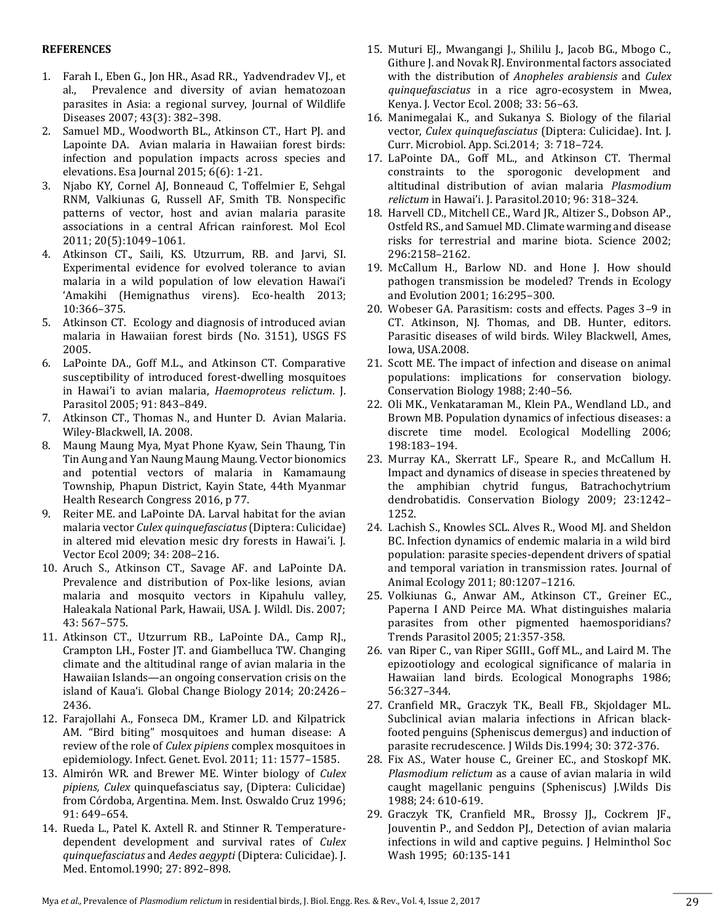#### **REFERENCES**

- 1. Farah I., Eben G., Jon HR., Asad RR., Yadvendradev VJ., et al., Prevalence and diversity of avian hematozoan parasites in Asia: a regional survey, Journal of Wildlife Diseases 2007; 43(3): 382–398.
- 2. Samuel MD., Woodworth BL., Atkinson CT., Hart PJ. and Lapointe DA. Avian malaria in Hawaiian forest birds: infection and population impacts across species and elevations. Esa Journal 2015; 6(6): 1-21.
- 3. Njabo KY, Cornel AJ, Bonneaud C, Toffelmier E, Sehgal RNM, Valkiunas G, Russell AF, Smith TB. Nonspecific patterns of vector, host and avian malaria parasite associations in a central African rainforest. Mol Ecol 2011; 20(5):1049–1061.
- 4. Atkinson CT., Saili, KS. Utzurrum, RB. and Jarvi, SI. Experimental evidence for evolved tolerance to avian malaria in a wild population of low elevation Hawai'i 'Amakihi (Hemignathus virens). Eco-health 2013; 10:366–375.
- 5. Atkinson CT. Ecology and diagnosis of introduced avian malaria in Hawaiian forest birds (No. 3151), USGS FS 2005.
- 6. LaPointe DA., Goff M.L., and Atkinson CT. Comparative susceptibility of introduced forest-dwelling mosquitoes in Hawai'i to avian malaria, *Haemoproteus relictum*. J. Parasitol 2005; 91: 843–849.
- 7. Atkinson CT., Thomas N., and Hunter D. Avian Malaria. Wiley-Blackwell, IA. 2008.
- 8. Maung Maung Mya, Myat Phone Kyaw, Sein Thaung, Tin Tin Aung and Yan Naung Maung Maung. Vector bionomics and potential vectors of malaria in Kamamaung Township, Phapun District, Kayin State, 44th Myanmar Health Research Congress 2016, p 77.
- 9. Reiter ME. and LaPointe DA. Larval habitat for the avian malaria vector *Culex quinquefasciatus*(Diptera: Culicidae) in altered mid elevation mesic dry forests in Hawai'i. J. Vector Ecol 2009; 34: 208–216.
- 10. Aruch S., Atkinson CT., Savage AF. and LaPointe DA. Prevalence and distribution of Pox-like lesions, avian malaria and mosquito vectors in Kipahulu valley, Haleakala National Park, Hawaii, USA. J. Wildl. Dis. 2007; 43: 567–575.
- 11. Atkinson CT., Utzurrum RB., LaPointe DA., Camp RJ., Crampton LH., Foster JT. and Giambelluca TW. Changing climate and the altitudinal range of avian malaria in the Hawaiian Islands—an ongoing conservation crisis on the island of Kaua'i. Global Change Biology 2014; 20:2426– 2436.
- 12. Farajollahi A., Fonseca DM., Kramer LD. and Kilpatrick AM. "Bird biting" mosquitoes and human disease: A review of the role of *Culex pipiens* complex mosquitoes in epidemiology. Infect. Genet. Evol. 2011; 11: 1577–1585.
- 13. Almirón WR. and Brewer ME. Winter biology of *Culex pipiens, Culex* quinquefasciatus say, (Diptera: Culicidae) from Córdoba, Argentina. Mem. Inst. Oswaldo Cruz 1996; 91: 649–654.
- 14. Rueda L., Patel K. Axtell R. and Stinner R. Temperaturedependent development and survival rates of *Culex quinquefasciatus* and *Aedes aegypti* (Diptera: Culicidae). J. Med. Entomol.1990; 27: 892–898.
- 15. Muturi EJ., Mwangangi J., Shililu J., Jacob BG., Mbogo C., Githure J. and Novak RJ. Environmental factors associated with the distribution of *Anopheles arabiensis* and *Culex quinquefasciatus* in a rice agro-ecosystem in Mwea, Kenya. J. Vector Ecol. 2008; 33: 56–63.
- 16. Manimegalai K., and Sukanya S. Biology of the filarial vector, *Culex quinquefasciatus* (Diptera: Culicidae). Int. J. Curr. Microbiol. App. Sci.2014; 3: 718–724.
- 17. LaPointe DA., Goff ML., and Atkinson CT. Thermal constraints to the sporogonic development and altitudinal distribution of avian malaria *Plasmodium relictum* in Hawai'i. J. Parasitol.2010; 96: 318–324.
- 18. Harvell CD., Mitchell CE., Ward JR., Altizer S., Dobson AP., Ostfeld RS., and Samuel MD. Climate warming and disease risks for terrestrial and marine biota. Science 2002; 296:2158–2162.
- 19. McCallum H., Barlow ND. and Hone J. How should pathogen transmission be modeled? Trends in Ecology and Evolution 2001; 16:295–300.
- 20. Wobeser GA. Parasitism: costs and effects. Pages 3–9 in CT. Atkinson, NJ. Thomas, and DB. Hunter, editors. Parasitic diseases of wild birds. Wiley Blackwell, Ames, Iowa, USA.2008.
- 21. Scott ME. The impact of infection and disease on animal populations: implications for conservation biology. Conservation Biology 1988; 2:40–56.
- 22. Oli MK., Venkataraman M., Klein PA., Wendland LD., and Brown MB. Population dynamics of infectious diseases: a discrete time model. Ecological Modelling 2006; 198:183–194.
- 23. Murray KA., Skerratt LF., Speare R., and McCallum H. Impact and dynamics of disease in species threatened by the amphibian chytrid fungus, Batrachochytrium dendrobatidis. Conservation Biology 2009; 23:1242– 1252.
- 24. Lachish S., Knowles SCL. Alves R., Wood MJ. and Sheldon BC. Infection dynamics of endemic malaria in a wild bird population: parasite species-dependent drivers of spatial and temporal variation in transmission rates. Journal of Animal Ecology 2011; 80:1207–1216.
- 25. Volkiunas G., Anwar AM., Atkinson CT., Greiner EC., Paperna I AND Peirce MA. What distinguishes malaria parasites from other pigmented haemosporidians? Trends Parasitol 2005; 21:357-358.
- 26. van Riper C., van Riper SGIII., Goff ML., and Laird M. The epizootiology and ecological significance of malaria in Hawaiian land birds. Ecological Monographs 1986; 56:327–344.
- 27. Cranfield MR., Graczyk TK., Beall FB., Skjoldager ML. Subclinical avian malaria infections in African blackfooted penguins (Spheniscus demergus) and induction of parasite recrudescence. J Wilds Dis.1994; 30: 372-376.
- 28. Fix AS., Water house C., Greiner EC., and Stoskopf MK. *Plasmodium relictum* as a cause of avian malaria in wild caught magellanic penguins (Spheniscus) J.Wilds Dis 1988; 24: 610-619.
- 29. Graczyk TK, Cranfield MR., Brossy JJ., Cockrem JF., Jouventin P., and Seddon PJ., Detection of avian malaria infections in wild and captive peguins. J Helminthol Soc Wash 1995; 60:135-141